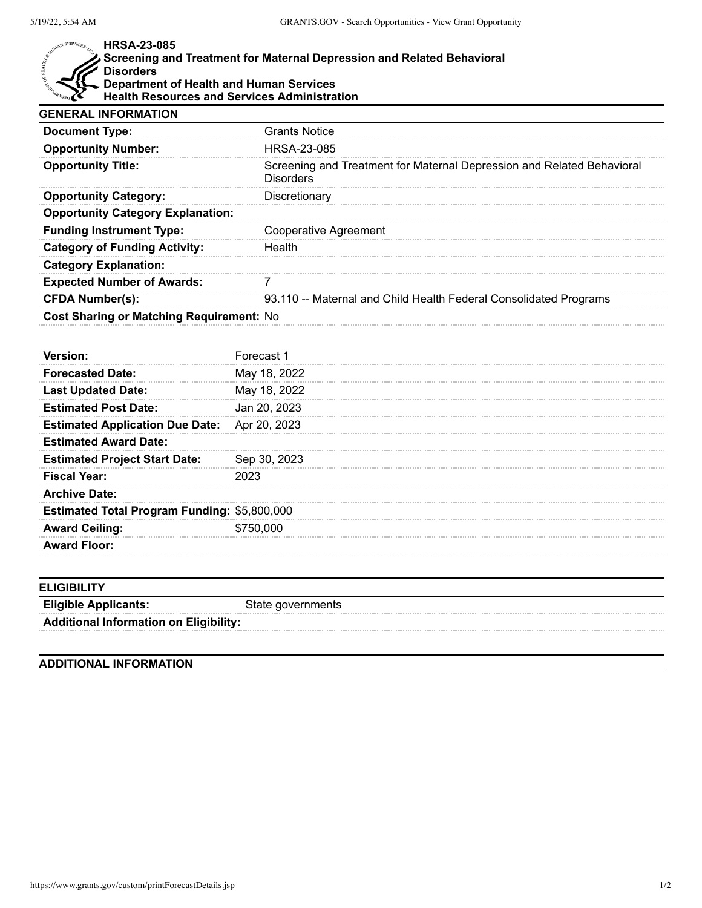## MAN SERVICES. U.

## **HRSA-23-085**

## **Screening and Treatment for Maternal Depression and Related Behavioral Disorders Department of Health and Human Services Health Resources and Services Administration**

| <b>GENERAL INFORMATION</b>               |                                                                                            |
|------------------------------------------|--------------------------------------------------------------------------------------------|
| <b>Document Type:</b>                    | <b>Grants Notice</b>                                                                       |
| <b>Opportunity Number:</b>               | HRSA-23-085                                                                                |
| <b>Opportunity Title:</b>                | Screening and Treatment for Maternal Depression and Related Behavioral<br><b>Disorders</b> |
| <b>Opportunity Category:</b>             | Discretionary                                                                              |
| <b>Opportunity Category Explanation:</b> |                                                                                            |
| <b>Funding Instrument Type:</b>          | Cooperative Agreement                                                                      |
| <b>Category of Funding Activity:</b>     | Health                                                                                     |
| <b>Category Explanation:</b>             |                                                                                            |
| <b>Expected Number of Awards:</b>        |                                                                                            |
| <b>CFDA Number(s):</b>                   | 93.110 -- Maternal and Child Health Federal Consolidated Programs                          |
| Cost Sharing or Matching Requirement: No |                                                                                            |

|                                                     | Forecast 1   |
|-----------------------------------------------------|--------------|
| <b>Forecasted Date:</b>                             | May 18, 2022 |
| <b>Last Updated Date:</b>                           | May 18, 2022 |
| <b>Estimated Post Date:</b>                         | Jan 20, 2023 |
| <b>Estimated Application Due Date:</b> Apr 20, 2023 |              |
| <b>Estimated Award Date:</b>                        |              |
| <b>Estimated Project Start Date:</b>                | Sep 30, 2023 |
| <b>Fiscal Year:</b>                                 |              |
| <b>Archive Date:</b>                                |              |
| <b>Estimated Total Program Funding: \$5,800,000</b> |              |
| <b>Award Ceiling:</b>                               | \$750,000    |
| <b>Award Floor:</b>                                 |              |
|                                                     |              |

| <b>ELIGIBILITY</b>                            |                   |
|-----------------------------------------------|-------------------|
| <b>Eligible Applicants:</b>                   | State governments |
| <b>Additional Information on Eligibility:</b> |                   |

## **ADDITIONAL INFORMATION**